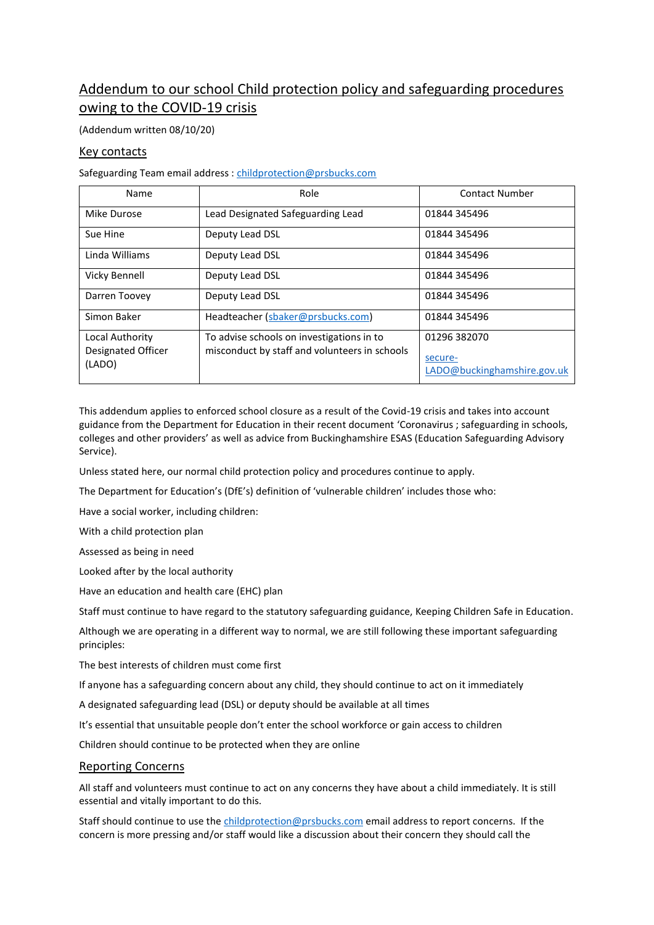# Addendum to our school Child protection policy and safeguarding procedures owing to the COVID-19 crisis

(Addendum written 08/10/20)

# Key contacts

Safeguarding Team email address [: childprotection@prsbucks.com](mailto:childprotection@prsbucks.com)

| Name                                            | Role                                                                                       | <b>Contact Number</b>                                  |  |
|-------------------------------------------------|--------------------------------------------------------------------------------------------|--------------------------------------------------------|--|
| Mike Durose                                     | Lead Designated Safeguarding Lead                                                          | 01844 345496                                           |  |
| Sue Hine                                        | Deputy Lead DSL                                                                            | 01844 345496                                           |  |
| Linda Williams                                  | Deputy Lead DSL                                                                            | 01844 345496                                           |  |
| Vicky Bennell                                   | Deputy Lead DSL                                                                            | 01844 345496                                           |  |
| Darren Toovey                                   | Deputy Lead DSL                                                                            | 01844 345496                                           |  |
| Simon Baker                                     | Headteacher (sbaker@prsbucks.com)                                                          | 01844 345496                                           |  |
| Local Authority<br>Designated Officer<br>(LADO) | To advise schools on investigations in to<br>misconduct by staff and volunteers in schools | 01296 382070<br>secure-<br>LADO@buckinghamshire.gov.uk |  |

This addendum applies to enforced school closure as a result of the Covid-19 crisis and takes into account guidance from the Department for Education in their recent document 'Coronavirus ; safeguarding in schools, colleges and other providers' as well as advice from Buckinghamshire ESAS (Education Safeguarding Advisory Service).

Unless stated here, our normal child protection policy and procedures continue to apply.

The Department for Education's (DfE's) definition of 'vulnerable children' includes those who:

Have a social worker, including children:

With a child protection plan

Assessed as being in need

Looked after by the local authority

Have an education and health care (EHC) plan

Staff must continue to have regard to the statutory safeguarding guidance, [Keeping Children Safe in Education.](https://www.gov.uk/government/publications/keeping-children-safe-in-education--2)

Although we are operating in a different way to normal, we are still following these important safeguarding principles:

The best interests of children must come first

If anyone has a safeguarding concern about any child, they should continue to act on it immediately

A designated safeguarding lead (DSL) or deputy should be available at all times

It's essential that unsuitable people don't enter the school workforce or gain access to children

Children should continue to be protected when they are online

### Reporting Concerns

All staff and volunteers must continue to act on any concerns they have about a child immediately. It is still essential and vitally important to do this.

Staff should continue to use the [childprotection@prsbucks.com](mailto:childprotection@prsbucks.com) email address to report concerns. If the concern is more pressing and/or staff would like a discussion about their concern they should call the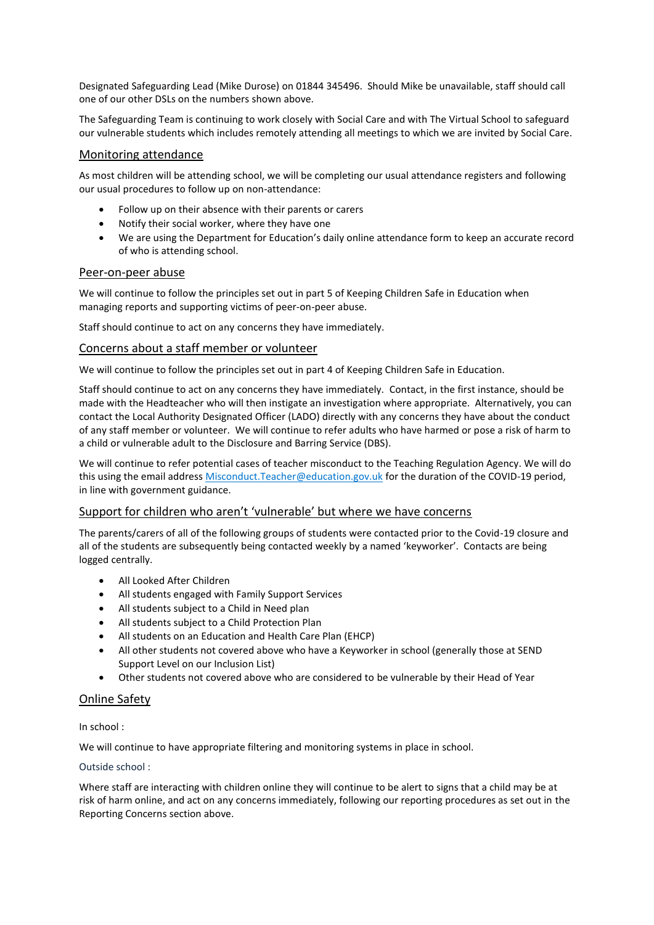Designated Safeguarding Lead (Mike Durose) on 01844 345496. Should Mike be unavailable, staff should call one of our other DSLs on the numbers shown above.

The Safeguarding Team is continuing to work closely with Social Care and with The Virtual School to safeguard our vulnerable students which includes remotely attending all meetings to which we are invited by Social Care.

### Monitoring attendance

As most children will be attending school, we will be completing our usual attendance registers and following our usual procedures to follow up on non-attendance:

- Follow up on their absence with their parents or carers
- Notify their social worker, where they have one
- We are using the Department for Education's daily online attendance form to keep an accurate record of who is attending school.

### Peer-on-peer abuse

We will continue to follow the principles set out in part 5 of Keeping Children Safe in Education when managing reports and supporting victims of peer-on-peer abuse.

Staff should continue to act on any concerns they have immediately.

### Concerns about a staff member or volunteer

We will continue to follow the principles set out in part 4 of Keeping Children Safe in Education.

Staff should continue to act on any concerns they have immediately. Contact, in the first instance, should be made with the Headteacher who will then instigate an investigation where appropriate. Alternatively, you can contact the Local Authority Designated Officer (LADO) directly with any concerns they have about the conduct of any staff member or volunteer. We will continue to refer adults who have harmed or pose a risk of harm to a child or vulnerable adult to the Disclosure and Barring Service (DBS).

We will continue to refer potential cases of teacher misconduct to the Teaching Regulation Agency. We will do this using the email address [Misconduct.Teacher@education.gov.uk](mailto:Misconduct.Teacher@education.gov.uk) for the duration of the COVID-19 period, in line with government guidance.

### Support for children who aren't 'vulnerable' but where we have concerns

The parents/carers of all of the following groups of students were contacted prior to the Covid-19 closure and all of the students are subsequently being contacted weekly by a named 'keyworker'. Contacts are being logged centrally.

- All Looked After Children
- All students engaged with Family Support Services
- All students subject to a Child in Need plan
- All students subject to a Child Protection Plan
- All students on an Education and Health Care Plan (EHCP)
- All other students not covered above who have a Keyworker in school (generally those at SEND Support Level on our Inclusion List)
- Other students not covered above who are considered to be vulnerable by their Head of Year

## Online Safety

In school :

We will continue to have appropriate filtering and monitoring systems in place in school.

### Outside school :

Where staff are interacting with children online they will continue to be alert to signs that a child may be at risk of harm online, and act on any concerns immediately, following our reporting procedures as set out in the Reporting Concerns section above.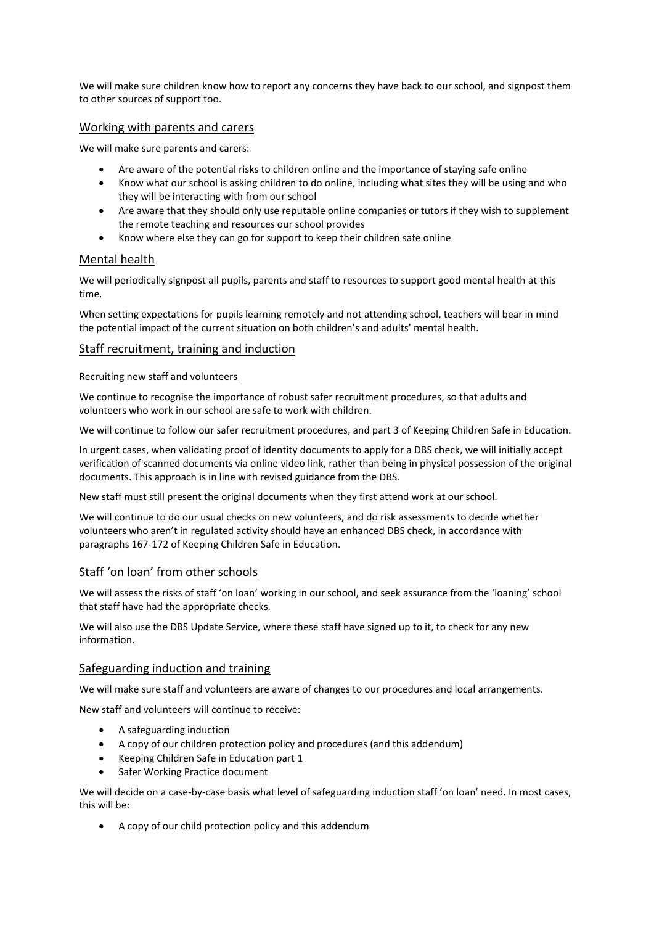We will make sure children know how to report any concerns they have back to our school, and signpost them to other sources of support too.

### Working with parents and carers

We will make sure parents and carers:

- Are aware of the potential risks to children online and the importance of staying safe online
- Know what our school is asking children to do online, including what sites they will be using and who they will be interacting with from our school
- Are aware that they should only use reputable online companies or tutors if they wish to supplement the remote teaching and resources our school provides
- Know where else they can go for support to keep their children safe online

# Mental health

We will periodically signpost all pupils, parents and staff to resources to support good mental health at this time.

When setting expectations for pupils learning remotely and not attending school, teachers will bear in mind the potential impact of the current situation on both children's and adults' mental health.

### Staff recruitment, training and induction

### Recruiting new staff and volunteers

We continue to recognise the importance of robust safer recruitment procedures, so that adults and volunteers who work in our school are safe to work with children.

We will continue to follow our safer recruitment procedures, and part 3 of Keeping Children Safe in Education.

In urgent cases, when validating proof of identity documents to apply for a DBS check, we will initially accept verification of scanned documents via online video link, rather than being in physical possession of the original documents. This approach is in line with revised guidance from the DBS.

New staff must still present the original documents when they first attend work at our school.

We will continue to do our usual checks on new volunteers, and do risk assessments to decide whether volunteers who aren't in regulated activity should have an enhanced DBS check, in accordance with paragraphs 167-172 of Keeping Children Safe in Education.

## Staff 'on loan' from other schools

We will assess the risks of staff 'on loan' working in our school, and seek assurance from the 'loaning' school that staff have had the appropriate checks.

We will also use the DBS Update Service, where these staff have signed up to it, to check for any new information.

## Safeguarding induction and training

We will make sure staff and volunteers are aware of changes to our procedures and local arrangements.

New staff and volunteers will continue to receive:

- A safeguarding induction
- A copy of our children protection policy and procedures (and this addendum)
- Keeping Children Safe in Education part 1
- Safer Working Practice document

We will decide on a case-by-case basis what level of safeguarding induction staff 'on loan' need. In most cases, this will be:

A copy of our child protection policy and this addendum